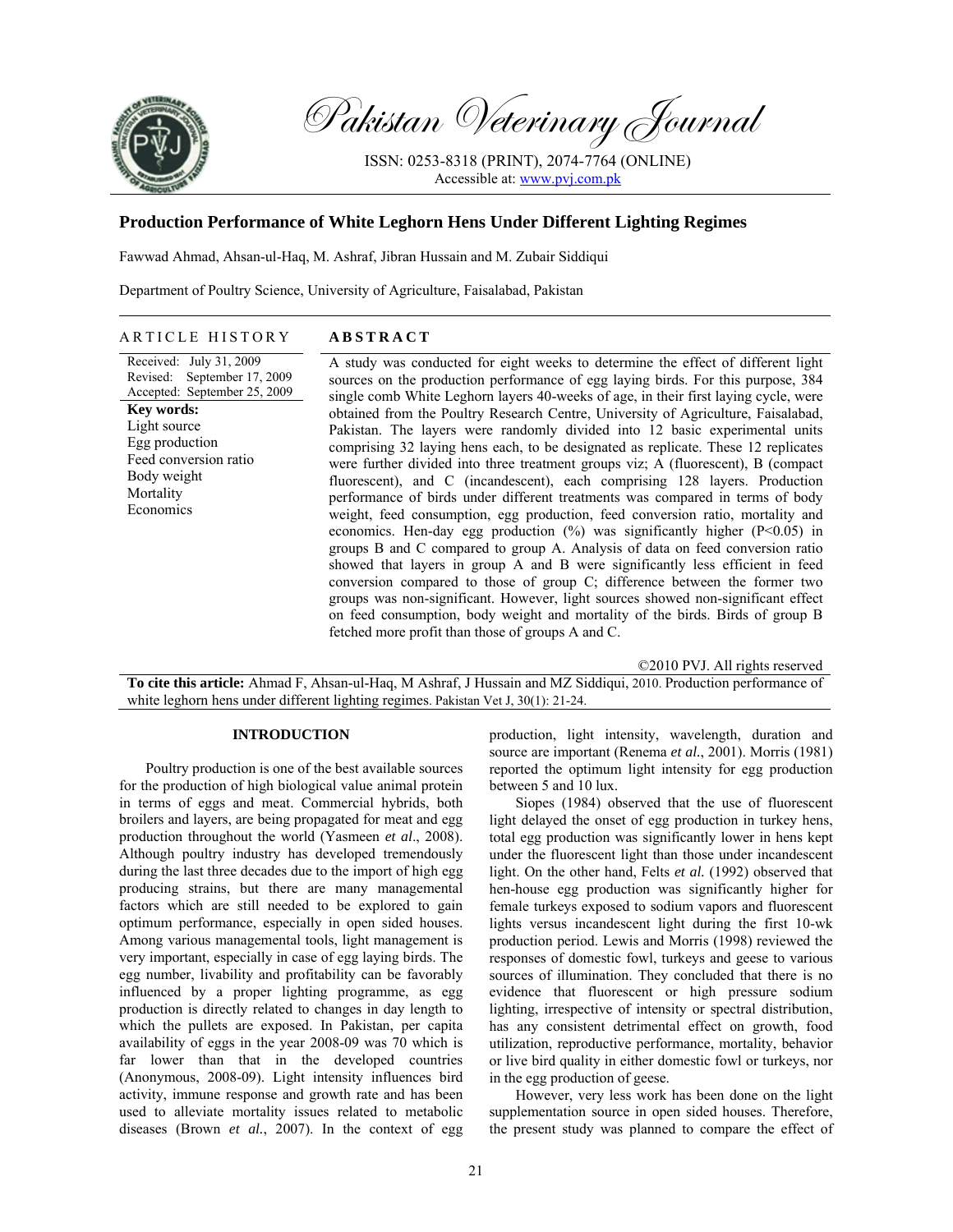

Pakistan Veterinary Journal

ISSN: 0253-8318 (PRINT), 2074-7764 (ONLINE) Accessible at: www.pvj.com.pk

# **Production Performance of White Leghorn Hens Under Different Lighting Regimes**

Fawwad Ahmad, Ahsan-ul-Haq, M. Ashraf, Jibran Hussain and M. Zubair Siddiqui

Department of Poultry Science, University of Agriculture, Faisalabad, Pakistan

## ARTICLE HISTORY **ABSTRACT**

Received: July 31, 2009 Revised: September 17, 2009 Accepted: September 25, 2009 **Key words:**  Light source Egg production Feed conversion ratio Body weight Mortality **Economics** 

A study was conducted for eight weeks to determine the effect of different light sources on the production performance of egg laying birds. For this purpose, 384 single comb White Leghorn layers 40-weeks of age, in their first laying cycle, were obtained from the Poultry Research Centre, University of Agriculture, Faisalabad, Pakistan. The layers were randomly divided into 12 basic experimental units comprising 32 laying hens each, to be designated as replicate. These 12 replicates were further divided into three treatment groups viz; A (fluorescent), B (compact fluorescent), and C (incandescent), each comprising 128 layers. Production performance of birds under different treatments was compared in terms of body weight, feed consumption, egg production, feed conversion ratio, mortality and economics. Hen-day egg production (%) was significantly higher (P<0.05) in groups B and C compared to group A. Analysis of data on feed conversion ratio showed that layers in group A and B were significantly less efficient in feed conversion compared to those of group C; difference between the former two groups was non-significant. However, light sources showed non-significant effect on feed consumption, body weight and mortality of the birds. Birds of group B fetched more profit than those of groups A and C.

©2010 PVJ. All rights reserved

**To cite this article:** Ahmad F, Ahsan-ul-Haq, M Ashraf, J Hussain and MZ Siddiqui, 2010. Production performance of white leghorn hens under different lighting regimes. Pakistan Vet J, 30(1): 21-24.

# **INTRODUCTION**

Poultry production is one of the best available sources for the production of high biological value animal protein in terms of eggs and meat. Commercial hybrids, both broilers and layers, are being propagated for meat and egg production throughout the world (Yasmeen *et al*., 2008). Although poultry industry has developed tremendously during the last three decades due to the import of high egg producing strains, but there are many managemental factors which are still needed to be explored to gain optimum performance, especially in open sided houses. Among various managemental tools, light management is very important, especially in case of egg laying birds. The egg number, livability and profitability can be favorably influenced by a proper lighting programme, as egg production is directly related to changes in day length to which the pullets are exposed. In Pakistan, per capita availability of eggs in the year 2008-09 was 70 which is far lower than that in the developed countries (Anonymous, 2008-09). Light intensity influences bird activity, immune response and growth rate and has been used to alleviate mortality issues related to metabolic diseases (Brown *et al.*, 2007). In the context of egg

production, light intensity, wavelength, duration and source are important (Renema *et al.*, 2001). Morris (1981) reported the optimum light intensity for egg production between 5 and 10 lux.

Siopes (1984) observed that the use of fluorescent light delayed the onset of egg production in turkey hens, total egg production was significantly lower in hens kept under the fluorescent light than those under incandescent light. On the other hand, Felts *et al.* (1992) observed that hen-house egg production was significantly higher for female turkeys exposed to sodium vapors and fluorescent lights versus incandescent light during the first 10-wk production period. Lewis and Morris (1998) reviewed the responses of domestic fowl, turkeys and geese to various sources of illumination. They concluded that there is no evidence that fluorescent or high pressure sodium lighting, irrespective of intensity or spectral distribution, has any consistent detrimental effect on growth, food utilization, reproductive performance, mortality, behavior or live bird quality in either domestic fowl or turkeys, nor in the egg production of geese.

However, very less work has been done on the light supplementation source in open sided houses. Therefore, the present study was planned to compare the effect of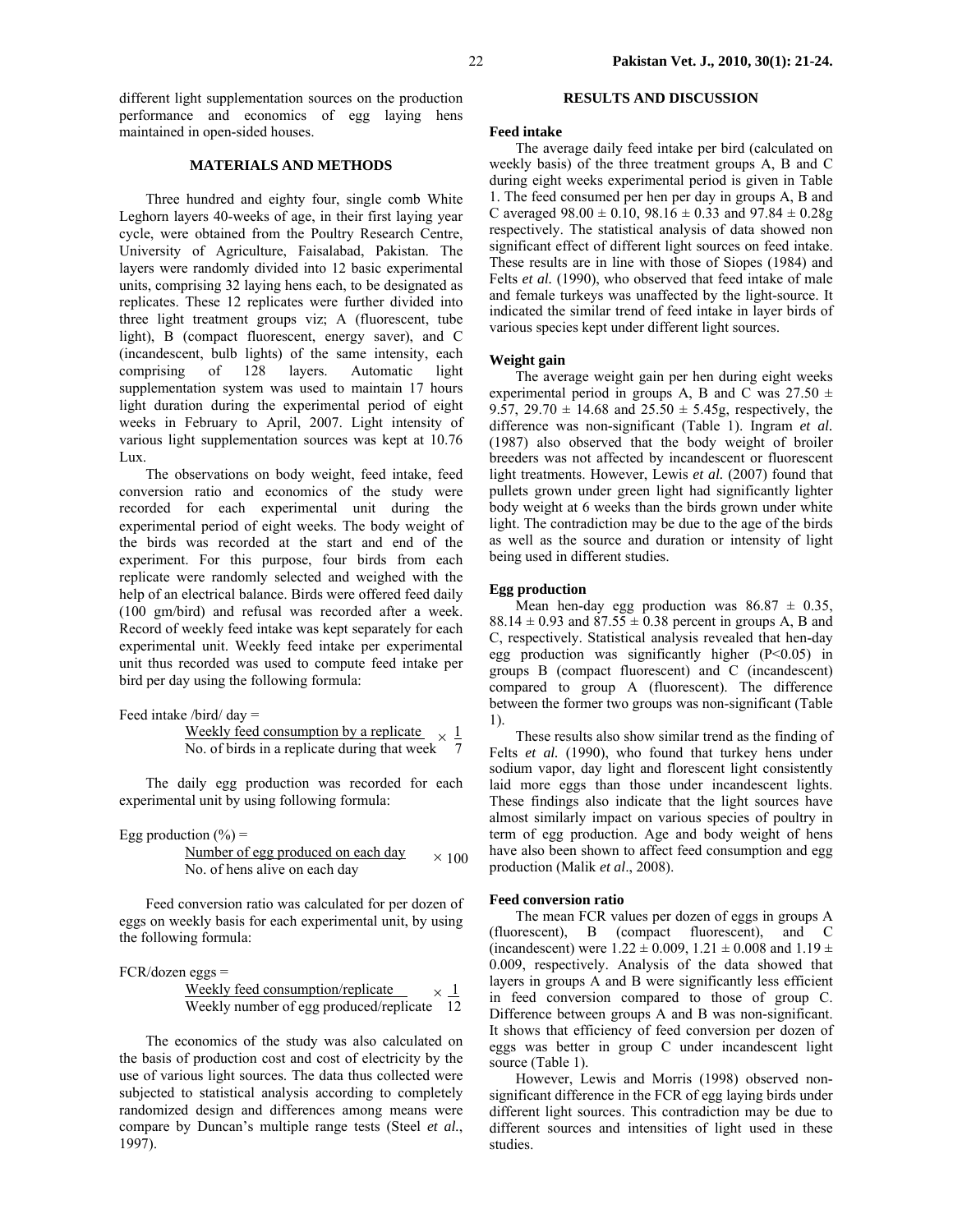different light supplementation sources on the production performance and economics of egg laying hens maintained in open-sided houses.

# **MATERIALS AND METHODS**

Three hundred and eighty four, single comb White Leghorn layers 40-weeks of age, in their first laying year cycle, were obtained from the Poultry Research Centre, University of Agriculture, Faisalabad, Pakistan. The layers were randomly divided into 12 basic experimental units, comprising 32 laying hens each, to be designated as replicates. These 12 replicates were further divided into three light treatment groups viz; A (fluorescent, tube light), B (compact fluorescent, energy saver), and C (incandescent, bulb lights) of the same intensity, each comprising of 128 layers. Automatic light supplementation system was used to maintain 17 hours light duration during the experimental period of eight weeks in February to April, 2007. Light intensity of various light supplementation sources was kept at 10.76 Lux.

The observations on body weight, feed intake, feed conversion ratio and economics of the study were recorded for each experimental unit during the experimental period of eight weeks. The body weight of the birds was recorded at the start and end of the experiment. For this purpose, four birds from each replicate were randomly selected and weighed with the help of an electrical balance. Birds were offered feed daily (100 gm/bird) and refusal was recorded after a week. Record of weekly feed intake was kept separately for each experimental unit. Weekly feed intake per experimental unit thus recorded was used to compute feed intake per bird per day using the following formula:

| Feed intake /bird/ $day =$ |  |  |
|----------------------------|--|--|
|----------------------------|--|--|

|  |  | Weekly feed consumption by a replicate $\times 1$ |  |
|--|--|---------------------------------------------------|--|
|  |  | No. of birds in a replicate during that week      |  |

The daily egg production was recorded for each experimental unit by using following formula:

| Egg production $(\% )$ = |  |
|--------------------------|--|
|--------------------------|--|

| Number of egg produced on each day | $\times$ 100 |
|------------------------------------|--------------|
| No. of hens alive on each day      | $\times$ 100 |

Feed conversion ratio was calculated for per dozen of eggs on weekly basis for each experimental unit, by using the following formula:

#### $FCR$ /dozen eggs = Weekly feed consumption/replicate Weekly number of egg produced/replicate 12  $\times$   $\perp$

The economics of the study was also calculated on the basis of production cost and cost of electricity by the use of various light sources. The data thus collected were subjected to statistical analysis according to completely randomized design and differences among means were compare by Duncan's multiple range tests (Steel *et al.*, 1997).

# **RESULTS AND DISCUSSION**

### **Feed intake**

The average daily feed intake per bird (calculated on weekly basis) of the three treatment groups A, B and C during eight weeks experimental period is given in Table 1. The feed consumed per hen per day in groups A, B and C averaged  $98.00 \pm 0.10$ ,  $98.16 \pm 0.33$  and  $97.84 \pm 0.28$ g respectively. The statistical analysis of data showed non significant effect of different light sources on feed intake. These results are in line with those of Siopes (1984) and Felts *et al.* (1990), who observed that feed intake of male and female turkeys was unaffected by the light-source. It indicated the similar trend of feed intake in layer birds of various species kept under different light sources.

# **Weight gain**

The average weight gain per hen during eight weeks experimental period in groups A, B and C was  $27.50 \pm$ 9.57, 29.70  $\pm$  14.68 and 25.50  $\pm$  5.45g, respectively, the difference was non-significant (Table 1). Ingram *et al.* (1987) also observed that the body weight of broiler breeders was not affected by incandescent or fluorescent light treatments. However, Lewis *et al.* (2007) found that pullets grown under green light had significantly lighter body weight at 6 weeks than the birds grown under white light. The contradiction may be due to the age of the birds as well as the source and duration or intensity of light being used in different studies.

# **Egg production**

Mean hen-day egg production was  $86.87 \pm 0.35$ , 88.14  $\pm$  0.93 and 87.55  $\pm$  0.38 percent in groups A, B and C, respectively. Statistical analysis revealed that hen-day egg production was significantly higher  $(P<0.05)$  in groups B (compact fluorescent) and C (incandescent) compared to group A (fluorescent). The difference between the former two groups was non-significant (Table 1).

These results also show similar trend as the finding of Felts *et al.* (1990), who found that turkey hens under sodium vapor, day light and florescent light consistently laid more eggs than those under incandescent lights. These findings also indicate that the light sources have almost similarly impact on various species of poultry in term of egg production. Age and body weight of hens have also been shown to affect feed consumption and egg production (Malik *et al*., 2008).

# **Feed conversion ratio**

The mean FCR values per dozen of eggs in groups A (fluorescent), B (compact fluorescent), and C (incandescent) were  $1.22 \pm 0.009$ ,  $1.21 \pm 0.008$  and  $1.19 \pm 0.008$ 0.009, respectively. Analysis of the data showed that layers in groups A and B were significantly less efficient in feed conversion compared to those of group C. Difference between groups A and B was non-significant. It shows that efficiency of feed conversion per dozen of eggs was better in group C under incandescent light source (Table 1).

However, Lewis and Morris (1998) observed nonsignificant difference in the FCR of egg laying birds under different light sources. This contradiction may be due to different sources and intensities of light used in these studies.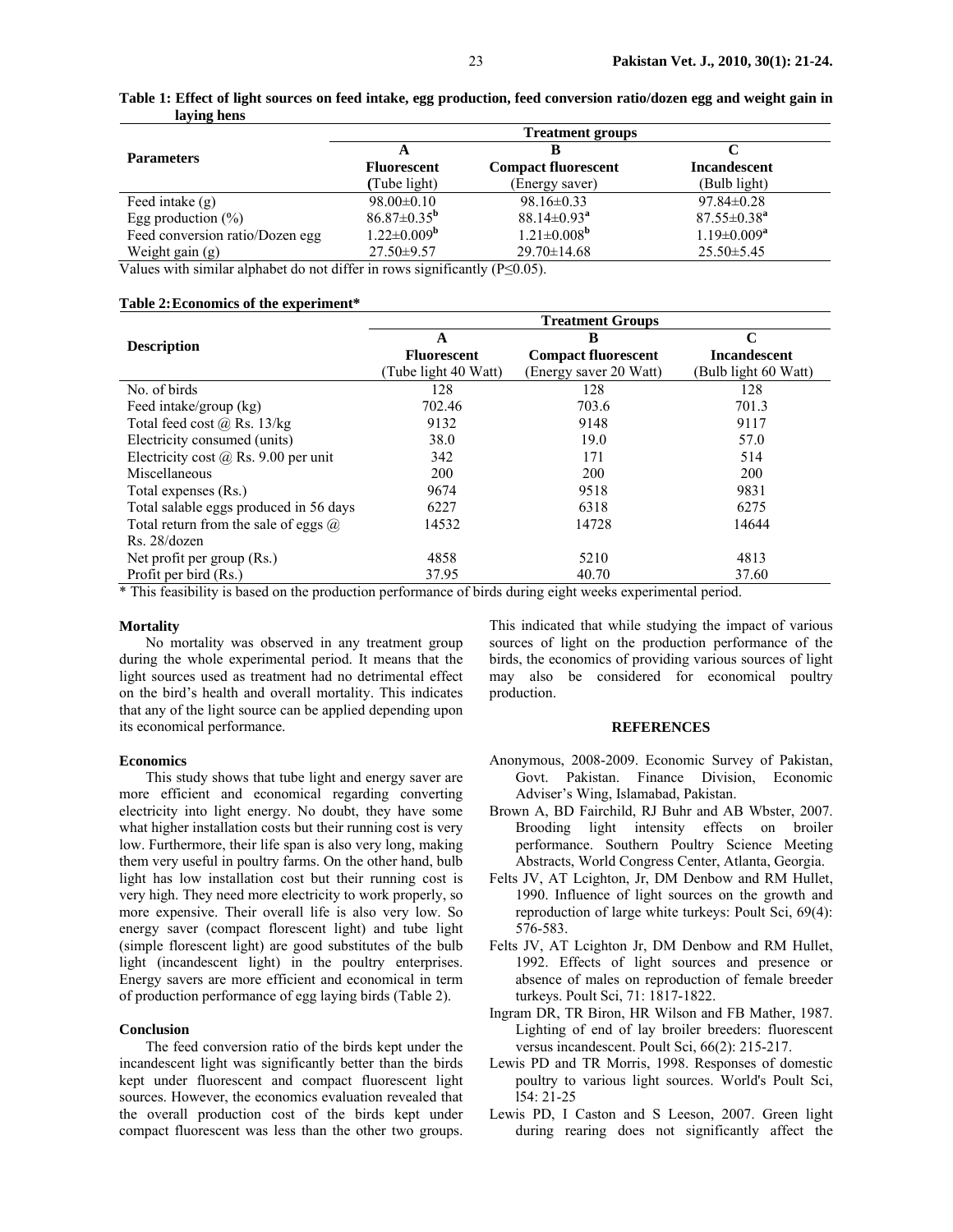|                                 | <b>Treatment groups</b>       |                            |                     |  |
|---------------------------------|-------------------------------|----------------------------|---------------------|--|
| <b>Parameters</b>               | A                             |                            |                     |  |
|                                 | <b>Fluorescent</b>            | <b>Compact fluorescent</b> | <b>Incandescent</b> |  |
|                                 | (Tube light)                  | (Energy saver)             | (Bulb light)        |  |
| Feed intake $(g)$               | $98.00 \pm 0.10$              | $98.16 \pm 0.33$           | $97.84 \pm 0.28$    |  |
| Egg production $(\% )$          | $86.87 \pm 0.35^{\mathrm{b}}$ | $88.14 \pm 0.93^a$         | $87.55 \pm 0.38^a$  |  |
| Feed conversion ratio/Dozen egg | $1.22 \pm 0.009^{\rm b}$      | $1.21 \pm 0.008^{\rm b}$   | $1.19 \pm 0.009^a$  |  |
| Weight gain $(g)$               | $27.50 \pm 9.57$              | $29.70 \pm 14.68$          | $25.50 \pm 5.45$    |  |

# **Table 1: Effect of light sources on feed intake, egg production, feed conversion ratio/dozen egg and weight gain in laying hens**

Values with similar alphabet do not differ in rows significantly  $(P \le 0.05)$ .

#### **Table 2: Economics of the experiment\***

|                                             | <b>Treatment Groups</b> |                            |                      |  |
|---------------------------------------------|-------------------------|----------------------------|----------------------|--|
|                                             | A                       | B                          | C                    |  |
| <b>Description</b>                          | <b>Fluorescent</b>      | <b>Compact fluorescent</b> | <b>Incandescent</b>  |  |
|                                             | (Tube light 40 Watt)    | (Energy saver 20 Watt)     | (Bulb light 60 Watt) |  |
| No. of birds                                | 128                     | 128                        | 128                  |  |
| Feed intake/group (kg)                      | 702.46                  | 703.6                      | 701.3                |  |
| Total feed cost @ Rs. 13/kg                 | 9132                    | 9148                       | 9117                 |  |
| Electricity consumed (units)                | 38.0                    | 19.0                       | 57.0                 |  |
| Electricity cost $(a)$ Rs. 9.00 per unit    | 342                     | 171                        | 514                  |  |
| Miscellaneous                               | <b>200</b>              | 200                        | 200                  |  |
| Total expenses (Rs.)                        | 9674                    | 9518                       | 9831                 |  |
| Total salable eggs produced in 56 days      | 6227                    | 6318                       | 6275                 |  |
| Total return from the sale of eggs $\omega$ | 14532                   | 14728                      | 14644                |  |
| Rs. 28/dozen                                |                         |                            |                      |  |
| Net profit per group $(Rs.)$                | 4858                    | 5210                       | 4813                 |  |
| Profit per bird (Rs.)                       | 37.95                   | 40.70                      | 37.60                |  |

\* This feasibility is based on the production performance of birds during eight weeks experimental period.

## **Mortality**

No mortality was observed in any treatment group during the whole experimental period. It means that the light sources used as treatment had no detrimental effect on the bird's health and overall mortality. This indicates that any of the light source can be applied depending upon its economical performance.

# **Economics**

This study shows that tube light and energy saver are more efficient and economical regarding converting electricity into light energy. No doubt, they have some what higher installation costs but their running cost is very low. Furthermore, their life span is also very long, making them very useful in poultry farms. On the other hand, bulb light has low installation cost but their running cost is very high. They need more electricity to work properly, so more expensive. Their overall life is also very low. So energy saver (compact florescent light) and tube light (simple florescent light) are good substitutes of the bulb light (incandescent light) in the poultry enterprises. Energy savers are more efficient and economical in term of production performance of egg laying birds (Table 2).

## **Conclusion**

The feed conversion ratio of the birds kept under the incandescent light was significantly better than the birds kept under fluorescent and compact fluorescent light sources. However, the economics evaluation revealed that the overall production cost of the birds kept under compact fluorescent was less than the other two groups.

This indicated that while studying the impact of various sources of light on the production performance of the birds, the economics of providing various sources of light may also be considered for economical poultry production.

# **REFERENCES**

- Anonymous, 2008-2009. Economic Survey of Pakistan, Govt. Pakistan. Finance Division, Economic Adviser's Wing, Islamabad, Pakistan.
- Brown A, BD Fairchild, RJ Buhr and AB Wbster, 2007. Brooding light intensity effects on broiler performance. Southern Poultry Science Meeting Abstracts, World Congress Center, Atlanta, Georgia.
- Felts JV, AT Lcighton, Jr, DM Denbow and RM Hullet, 1990. Influence of light sources on the growth and reproduction of large white turkeys: Poult Sci, 69(4): 576-583.
- Felts JV, AT Lcighton Jr, DM Denbow and RM Hullet, 1992. Effects of light sources and presence or absence of males on reproduction of female breeder turkeys. Poult Sci, 71: 1817-1822.
- Ingram DR, TR Biron, HR Wilson and FB Mather, 1987. Lighting of end of lay broiler breeders: fluorescent versus incandescent. Poult Sci, 66(2): 215-217.
- Lewis PD and TR Morris, 1998. Responses of domestic poultry to various light sources. World's Poult Sci, l54: 21-25
- Lewis PD, I Caston and S Leeson, 2007. Green light during rearing does not significantly affect the